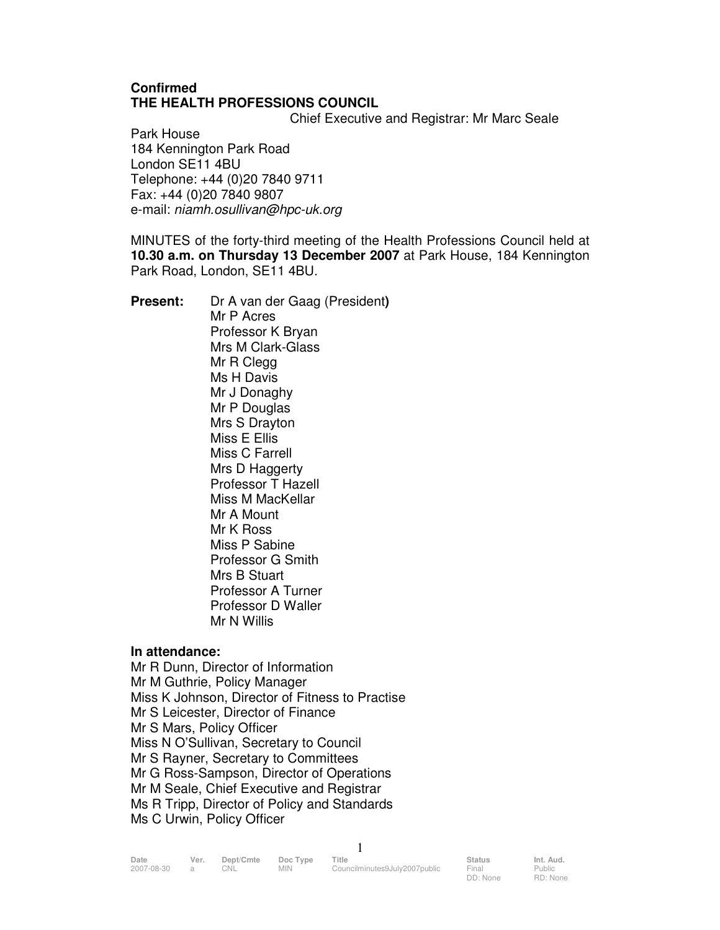# **Confirmed THE HEALTH PROFESSIONS COUNCIL**

Chief Executive and Registrar: Mr Marc Seale

Park House 184 Kennington Park Road London SE11 4BU Telephone: +44 (0)20 7840 9711 Fax: +44 (0)20 7840 9807 e-mail: niamh.osullivan@hpc-uk.org

MINUTES of the forty-third meeting of the Health Professions Council held at **10.30 a.m. on Thursday 13 December 2007** at Park House, 184 Kennington Park Road, London, SE11 4BU.

**Present:** Dr A van der Gaag (President**)**  Mr P Acres Professor K Bryan Mrs M Clark-Glass Mr R Clegg Ms H Davis Mr J Donaghy Mr P Douglas Mrs S Drayton Miss E Ellis Miss C Farrell Mrs D Haggerty Professor T Hazell Miss M MacKellar Mr A Mount Mr K Ross Miss P Sabine Professor G Smith Mrs B Stuart Professor A Turner Professor D Waller Mr N Willis

## **In attendance:**

Mr R Dunn, Director of Information Mr M Guthrie, Policy Manager Miss K Johnson, Director of Fitness to Practise Mr S Leicester, Director of Finance Mr S Mars, Policy Officer Miss N O'Sullivan, Secretary to Council Mr S Rayner, Secretary to Committees Mr G Ross-Sampson, Director of Operations Mr M Seale, Chief Executive and Registrar Ms R Tripp, Director of Policy and Standards Ms C Urwin, Policy Officer

| Date<br>2007-08-30 | Ver.<br>$\overline{a}$ | Dept/Cmte<br>CNL. | Doc Type<br><b>MIN</b> | Title<br>Councilminutes9July2007public | <b>Status</b><br>Final | Int. Aud.<br>Public |
|--------------------|------------------------|-------------------|------------------------|----------------------------------------|------------------------|---------------------|
|                    |                        |                   |                        |                                        | DD: None               | RD: Non             |

1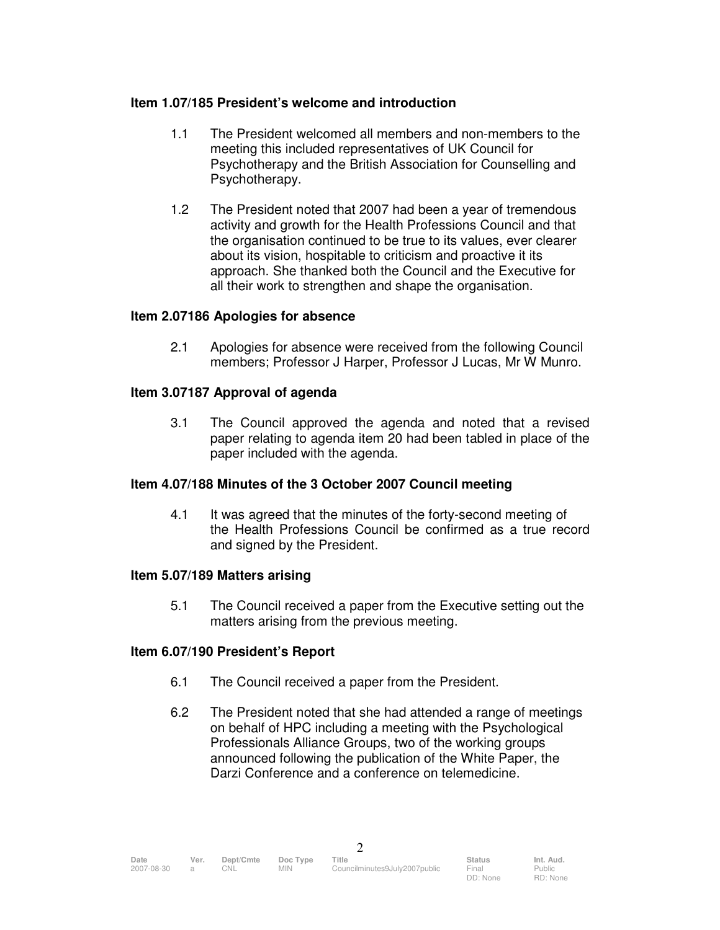## **Item 1.07/185 President's welcome and introduction**

- 1.1 The President welcomed all members and non-members to the meeting this included representatives of UK Council for Psychotherapy and the British Association for Counselling and Psychotherapy.
- 1.2 The President noted that 2007 had been a year of tremendous activity and growth for the Health Professions Council and that the organisation continued to be true to its values, ever clearer about its vision, hospitable to criticism and proactive it its approach. She thanked both the Council and the Executive for all their work to strengthen and shape the organisation.

### **Item 2.07186 Apologies for absence**

2.1 Apologies for absence were received from the following Council members; Professor J Harper, Professor J Lucas, Mr W Munro.

### **Item 3.07187 Approval of agenda**

3.1 The Council approved the agenda and noted that a revised paper relating to agenda item 20 had been tabled in place of the paper included with the agenda.

## **Item 4.07/188 Minutes of the 3 October 2007 Council meeting**

4.1 It was agreed that the minutes of the forty-second meeting of the Health Professions Council be confirmed as a true record and signed by the President.

### **Item 5.07/189 Matters arising**

5.1 The Council received a paper from the Executive setting out the matters arising from the previous meeting.

#### **Item 6.07/190 President's Report**

- 6.1 The Council received a paper from the President.
- 6.2 The President noted that she had attended a range of meetings on behalf of HPC including a meeting with the Psychological Professionals Alliance Groups, two of the working groups announced following the publication of the White Paper, the Darzi Conference and a conference on telemedicine.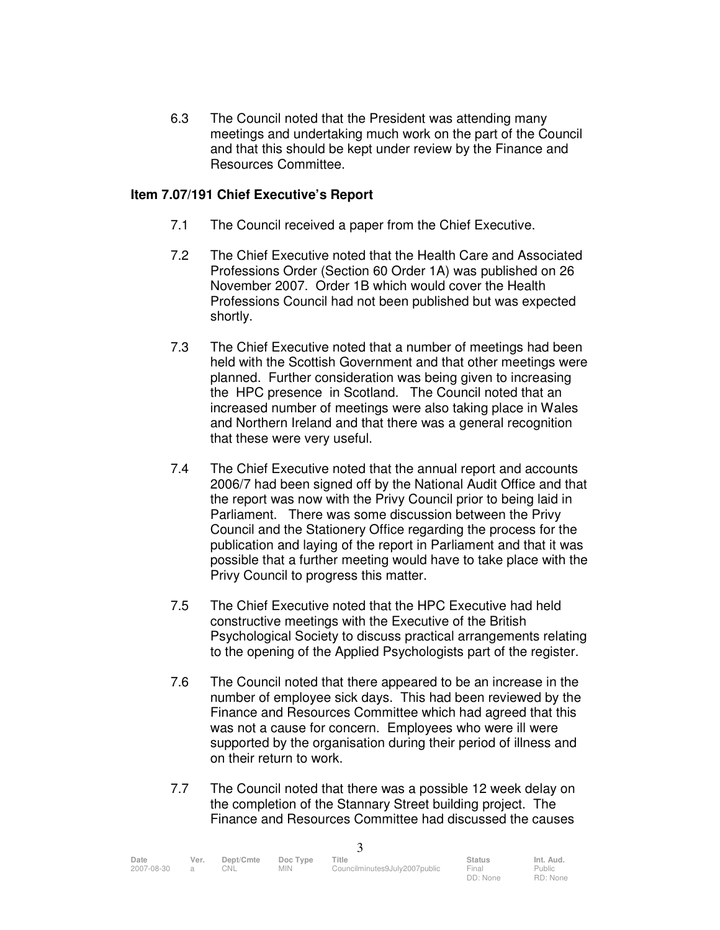6.3 The Council noted that the President was attending many meetings and undertaking much work on the part of the Council and that this should be kept under review by the Finance and Resources Committee.

### **Item 7.07/191 Chief Executive's Report**

- 7.1 The Council received a paper from the Chief Executive.
- 7.2 The Chief Executive noted that the Health Care and Associated Professions Order (Section 60 Order 1A) was published on 26 November 2007. Order 1B which would cover the Health Professions Council had not been published but was expected shortly.
- 7.3 The Chief Executive noted that a number of meetings had been held with the Scottish Government and that other meetings were planned. Further consideration was being given to increasing the HPC presence in Scotland. The Council noted that an increased number of meetings were also taking place in Wales and Northern Ireland and that there was a general recognition that these were very useful.
- 7.4 The Chief Executive noted that the annual report and accounts 2006/7 had been signed off by the National Audit Office and that the report was now with the Privy Council prior to being laid in Parliament. There was some discussion between the Privy Council and the Stationery Office regarding the process for the publication and laying of the report in Parliament and that it was possible that a further meeting would have to take place with the Privy Council to progress this matter.
- 7.5 The Chief Executive noted that the HPC Executive had held constructive meetings with the Executive of the British Psychological Society to discuss practical arrangements relating to the opening of the Applied Psychologists part of the register.
- 7.6 The Council noted that there appeared to be an increase in the number of employee sick days. This had been reviewed by the Finance and Resources Committee which had agreed that this was not a cause for concern. Employees who were ill were supported by the organisation during their period of illness and on their return to work.
- 7.7 The Council noted that there was a possible 12 week delay on the completion of the Stannary Street building project. The Finance and Resources Committee had discussed the causes

| Date<br>2007-08-30 | Ver.<br>$\overline{a}$ | Dept/Cmte<br><b>CNL</b> | Doc Type<br>MIN. | ⊤itle<br>Councilminutes9July2007public | <b>Status</b><br>Final<br>DD: None | Int. Aud.<br>Public<br>RD: None |
|--------------------|------------------------|-------------------------|------------------|----------------------------------------|------------------------------------|---------------------------------|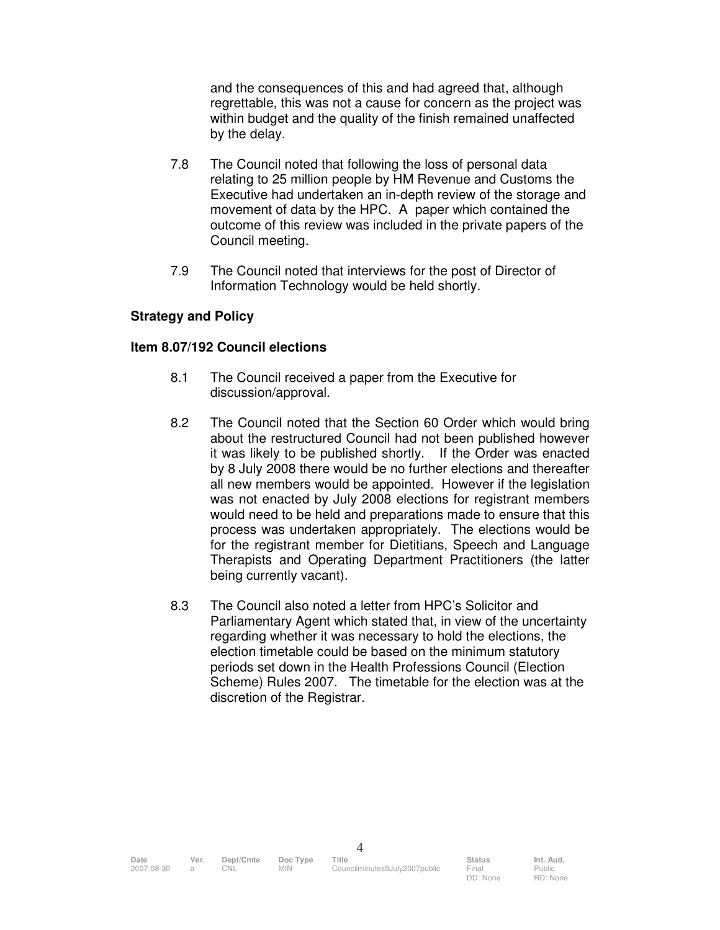and the consequences of this and had agreed that, although regrettable, this was not a cause for concern as the project was within budget and the quality of the finish remained unaffected by the delay.

- 7.8 The Council noted that following the loss of personal data relating to 25 million people by HM Revenue and Customs the Executive had undertaken an in-depth review of the storage and movement of data by the HPC. A paper which contained the outcome of this review was included in the private papers of the Council meeting.
- 7.9 The Council noted that interviews for the post of Director of Information Technology would be held shortly.

### **Strategy and Policy**

#### **Item 8.07/192 Council elections**

- 8.1 The Council received a paper from the Executive for discussion/approval.
- 8.2 The Council noted that the Section 60 Order which would bring about the restructured Council had not been published however it was likely to be published shortly. If the Order was enacted by 8 July 2008 there would be no further elections and thereafter all new members would be appointed. However if the legislation was not enacted by July 2008 elections for registrant members would need to be held and preparations made to ensure that this process was undertaken appropriately. The elections would be for the registrant member for Dietitians, Speech and Language Therapists and Operating Department Practitioners (the latter being currently vacant).
- 8.3 The Council also noted a letter from HPC's Solicitor and Parliamentary Agent which stated that, in view of the uncertainty regarding whether it was necessary to hold the elections, the election timetable could be based on the minimum statutory periods set down in the Health Professions Council (Election Scheme) Rules 2007. The timetable for the election was at the discretion of the Registrar.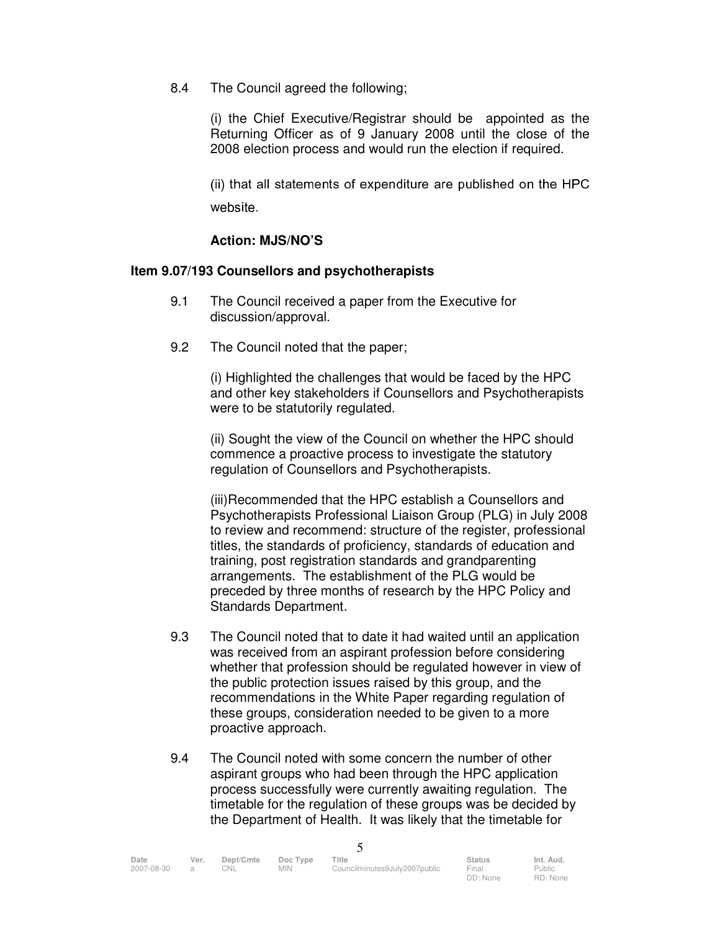8.4 The Council agreed the following;

(i) the Chief Executive/Registrar should be appointed as the Returning Officer as of 9 January 2008 until the close of the 2008 election process and would run the election if required.

(ii) that all statements of expenditure are published on the HPC website.

## **Action: MJS/NO'S**

### **Item 9.07/193 Counsellors and psychotherapists**

- 9.1 The Council received a paper from the Executive for discussion/approval.
- 9.2 The Council noted that the paper;

(i) Highlighted the challenges that would be faced by the HPC and other key stakeholders if Counsellors and Psychotherapists were to be statutorily regulated.

(ii) Sought the view of the Council on whether the HPC should commence a proactive process to investigate the statutory regulation of Counsellors and Psychotherapists.

(iii)Recommended that the HPC establish a Counsellors and Psychotherapists Professional Liaison Group (PLG) in July 2008 to review and recommend: structure of the register, professional titles, the standards of proficiency, standards of education and training, post registration standards and grandparenting arrangements. The establishment of the PLG would be preceded by three months of research by the HPC Policy and Standards Department.

- 9.3 The Council noted that to date it had waited until an application was received from an aspirant profession before considering whether that profession should be regulated however in view of the public protection issues raised by this group, and the recommendations in the White Paper regarding regulation of these groups, consideration needed to be given to a more proactive approach.
- 9.4 The Council noted with some concern the number of other aspirant groups who had been through the HPC application process successfully were currently awaiting regulation. The timetable for the regulation of these groups was be decided by the Department of Health. It was likely that the timetable for

| Date       | Ver.           | Dept/Cmte | Doc Type   | ⊤itle                         | <b>Status</b> | Int. Aud.     |
|------------|----------------|-----------|------------|-------------------------------|---------------|---------------|
| 2007-08-30 | $\overline{a}$ | CNL.      | <b>MIN</b> | Councilminutes9July2007public | Final         | <b>Public</b> |
|            |                |           |            |                               | DD: None      | RD: None      |

5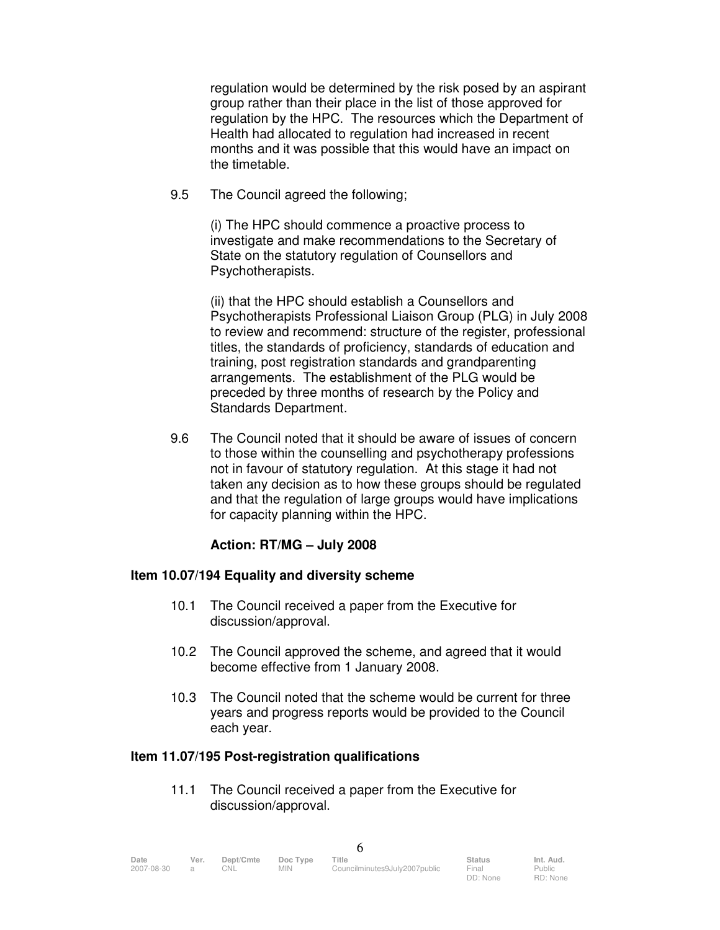regulation would be determined by the risk posed by an aspirant group rather than their place in the list of those approved for regulation by the HPC. The resources which the Department of Health had allocated to regulation had increased in recent months and it was possible that this would have an impact on the timetable.

## 9.5 The Council agreed the following;

(i) The HPC should commence a proactive process to investigate and make recommendations to the Secretary of State on the statutory regulation of Counsellors and Psychotherapists.

(ii) that the HPC should establish a Counsellors and Psychotherapists Professional Liaison Group (PLG) in July 2008 to review and recommend: structure of the register, professional titles, the standards of proficiency, standards of education and training, post registration standards and grandparenting arrangements. The establishment of the PLG would be preceded by three months of research by the Policy and Standards Department.

9.6 The Council noted that it should be aware of issues of concern to those within the counselling and psychotherapy professions not in favour of statutory regulation. At this stage it had not taken any decision as to how these groups should be regulated and that the regulation of large groups would have implications for capacity planning within the HPC.

## **Action: RT/MG – July 2008**

## **Item 10.07/194 Equality and diversity scheme**

- 10.1 The Council received a paper from the Executive for discussion/approval.
- 10.2 The Council approved the scheme, and agreed that it would become effective from 1 January 2008.
- 10.3 The Council noted that the scheme would be current for three years and progress reports would be provided to the Council each year.

## **Item 11.07/195 Post-registration qualifications**

11.1 The Council received a paper from the Executive for discussion/approval.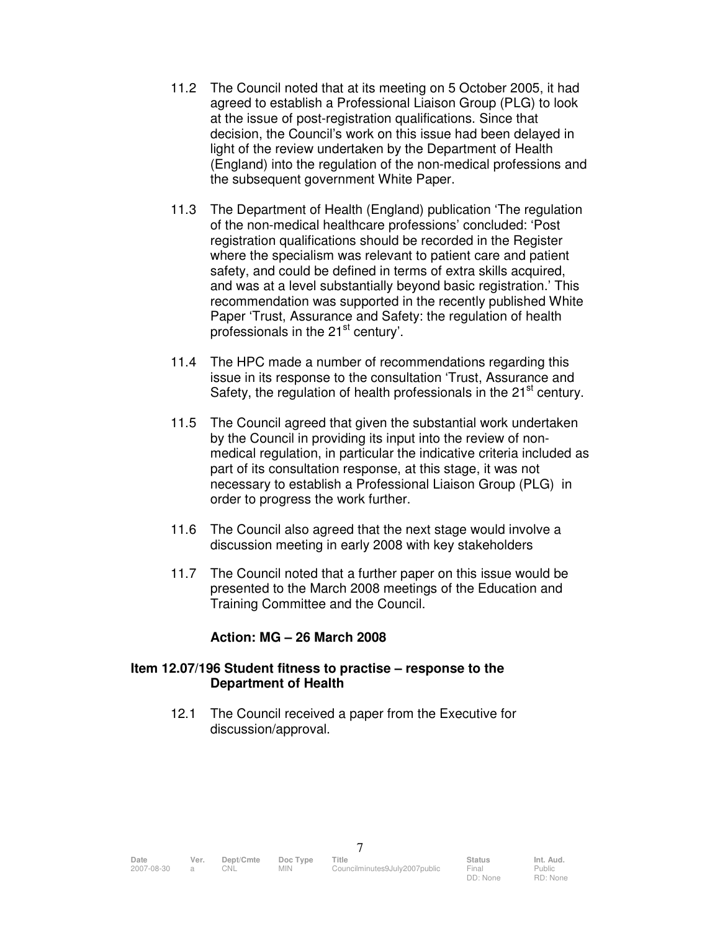- 11.2 The Council noted that at its meeting on 5 October 2005, it had agreed to establish a Professional Liaison Group (PLG) to look at the issue of post-registration qualifications. Since that decision, the Council's work on this issue had been delayed in light of the review undertaken by the Department of Health (England) into the regulation of the non-medical professions and the subsequent government White Paper.
- 11.3 The Department of Health (England) publication 'The regulation of the non-medical healthcare professions' concluded: 'Post registration qualifications should be recorded in the Register where the specialism was relevant to patient care and patient safety, and could be defined in terms of extra skills acquired, and was at a level substantially beyond basic registration.' This recommendation was supported in the recently published White Paper 'Trust, Assurance and Safety: the regulation of health professionals in the 21<sup>st</sup> century'.
- 11.4 The HPC made a number of recommendations regarding this issue in its response to the consultation 'Trust, Assurance and Safety, the regulation of health professionals in the 21<sup>st</sup> century.
- 11.5 The Council agreed that given the substantial work undertaken by the Council in providing its input into the review of nonmedical regulation, in particular the indicative criteria included as part of its consultation response, at this stage, it was not necessary to establish a Professional Liaison Group (PLG) in order to progress the work further.
- 11.6 The Council also agreed that the next stage would involve a discussion meeting in early 2008 with key stakeholders
- 11.7 The Council noted that a further paper on this issue would be presented to the March 2008 meetings of the Education and Training Committee and the Council.

## **Action: MG – 26 March 2008**

### **Item 12.07/196 Student fitness to practise – response to the Department of Health**

12.1 The Council received a paper from the Executive for discussion/approval.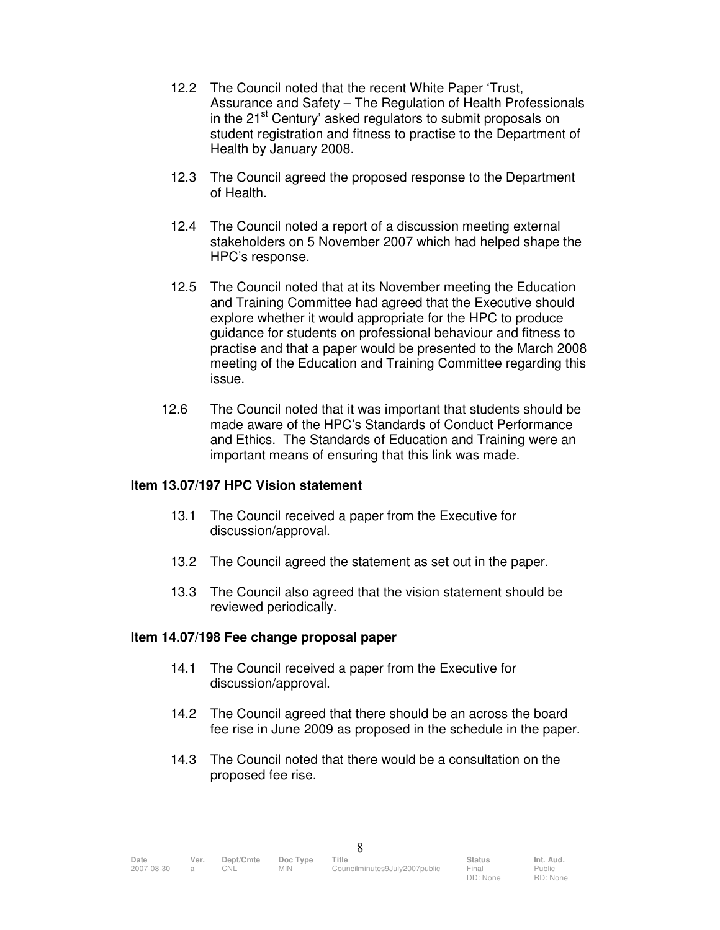- 12.2 The Council noted that the recent White Paper 'Trust, Assurance and Safety – The Regulation of Health Professionals in the 21<sup>st</sup> Century' asked regulators to submit proposals on student registration and fitness to practise to the Department of Health by January 2008.
- 12.3 The Council agreed the proposed response to the Department of Health.
- 12.4 The Council noted a report of a discussion meeting external stakeholders on 5 November 2007 which had helped shape the HPC's response.
- 12.5 The Council noted that at its November meeting the Education and Training Committee had agreed that the Executive should explore whether it would appropriate for the HPC to produce guidance for students on professional behaviour and fitness to practise and that a paper would be presented to the March 2008 meeting of the Education and Training Committee regarding this issue.
- 12.6 The Council noted that it was important that students should be made aware of the HPC's Standards of Conduct Performance and Ethics. The Standards of Education and Training were an important means of ensuring that this link was made.

## **Item 13.07/197 HPC Vision statement**

- 13.1 The Council received a paper from the Executive for discussion/approval.
- 13.2 The Council agreed the statement as set out in the paper.
- 13.3 The Council also agreed that the vision statement should be reviewed periodically.

## **Item 14.07/198 Fee change proposal paper**

- 14.1 The Council received a paper from the Executive for discussion/approval.
- 14.2 The Council agreed that there should be an across the board fee rise in June 2009 as proposed in the schedule in the paper.
- 14.3 The Council noted that there would be a consultation on the proposed fee rise.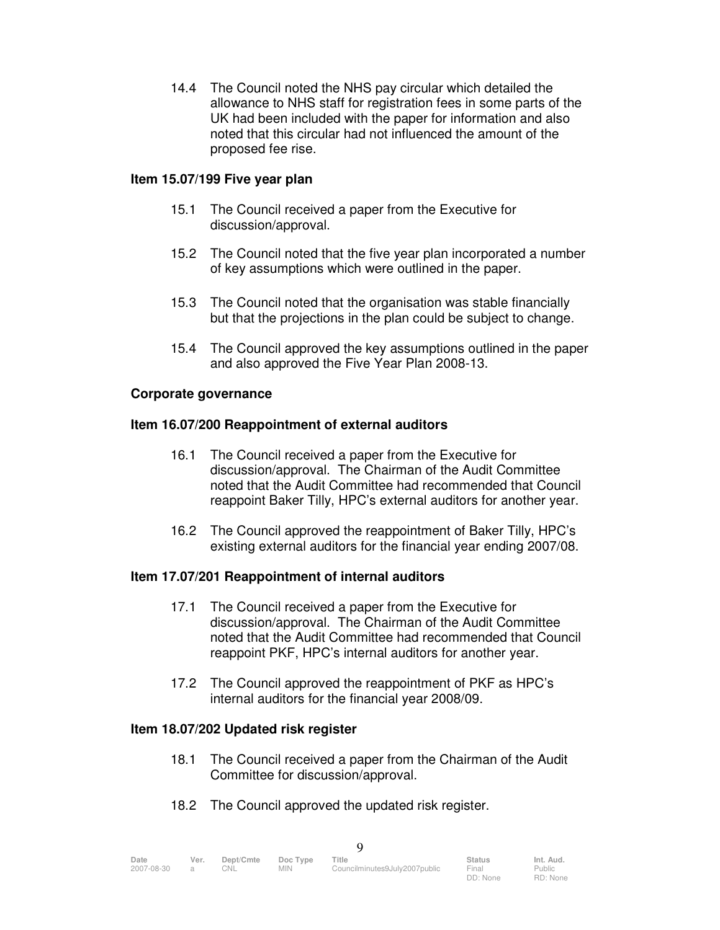14.4 The Council noted the NHS pay circular which detailed the allowance to NHS staff for registration fees in some parts of the UK had been included with the paper for information and also noted that this circular had not influenced the amount of the proposed fee rise.

## **Item 15.07/199 Five year plan**

- 15.1 The Council received a paper from the Executive for discussion/approval.
- 15.2 The Council noted that the five year plan incorporated a number of key assumptions which were outlined in the paper.
- 15.3 The Council noted that the organisation was stable financially but that the projections in the plan could be subject to change.
- 15.4 The Council approved the key assumptions outlined in the paper and also approved the Five Year Plan 2008-13.

## **Corporate governance**

## **Item 16.07/200 Reappointment of external auditors**

- 16.1 The Council received a paper from the Executive for discussion/approval. The Chairman of the Audit Committee noted that the Audit Committee had recommended that Council reappoint Baker Tilly, HPC's external auditors for another year.
- 16.2 The Council approved the reappointment of Baker Tilly, HPC's existing external auditors for the financial year ending 2007/08.

## **Item 17.07/201 Reappointment of internal auditors**

- 17.1 The Council received a paper from the Executive for discussion/approval. The Chairman of the Audit Committee noted that the Audit Committee had recommended that Council reappoint PKF, HPC's internal auditors for another year.
- 17.2 The Council approved the reappointment of PKF as HPC's internal auditors for the financial year 2008/09.

#### **Item 18.07/202 Updated risk register**

- 18.1 The Council received a paper from the Chairman of the Audit Committee for discussion/approval.
- 18.2 The Council approved the updated risk register.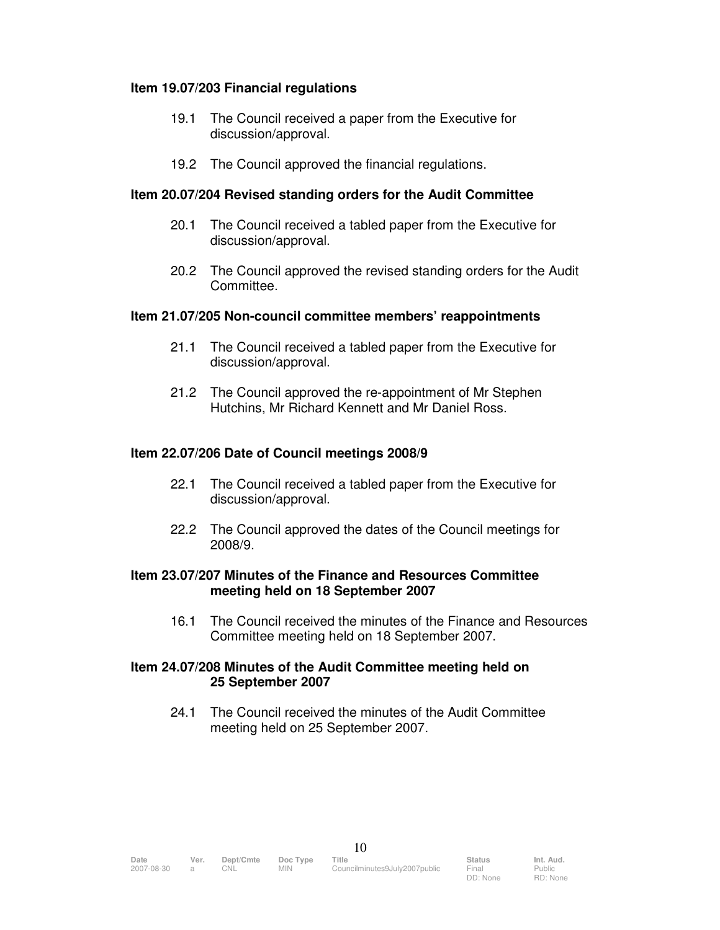### **Item 19.07/203 Financial regulations**

- 19.1 The Council received a paper from the Executive for discussion/approval.
- 19.2 The Council approved the financial regulations.

### **Item 20.07/204 Revised standing orders for the Audit Committee**

- 20.1 The Council received a tabled paper from the Executive for discussion/approval.
- 20.2 The Council approved the revised standing orders for the Audit Committee.

### **Item 21.07/205 Non-council committee members' reappointments**

- 21.1 The Council received a tabled paper from the Executive for discussion/approval.
- 21.2 The Council approved the re-appointment of Mr Stephen Hutchins, Mr Richard Kennett and Mr Daniel Ross.

### **Item 22.07/206 Date of Council meetings 2008/9**

- 22.1 The Council received a tabled paper from the Executive for discussion/approval.
- 22.2 The Council approved the dates of the Council meetings for 2008/9.

### **Item 23.07/207 Minutes of the Finance and Resources Committee meeting held on 18 September 2007**

16.1 The Council received the minutes of the Finance and Resources Committee meeting held on 18 September 2007.

## **Item 24.07/208 Minutes of the Audit Committee meeting held on 25 September 2007**

24.1 The Council received the minutes of the Audit Committee meeting held on 25 September 2007.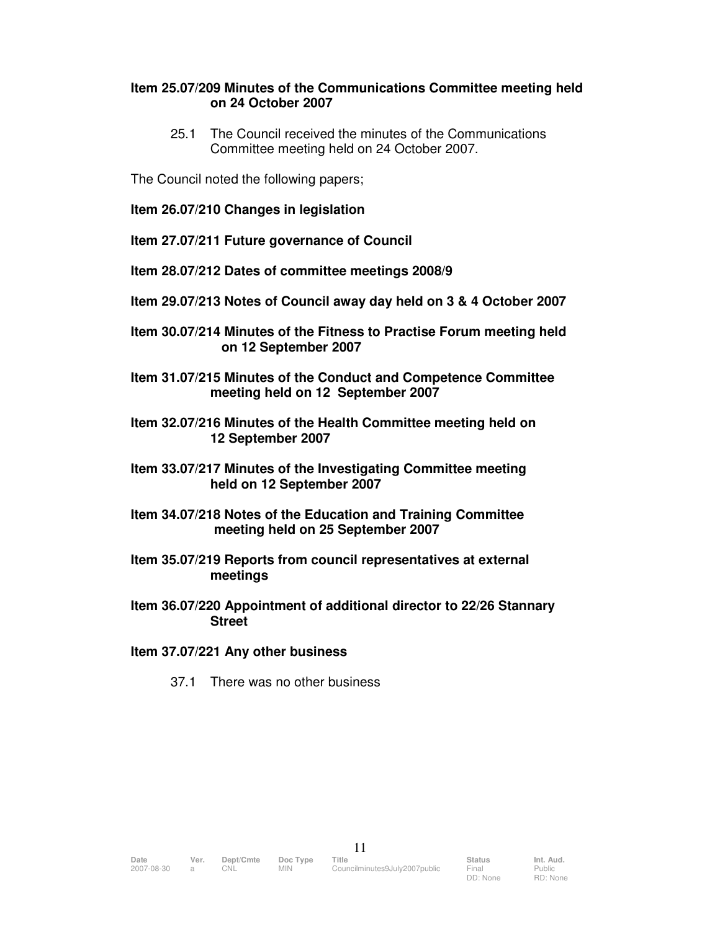### **Item 25.07/209 Minutes of the Communications Committee meeting held on 24 October 2007**

25.1 The Council received the minutes of the Communications Committee meeting held on 24 October 2007.

The Council noted the following papers;

**Item 26.07/210 Changes in legislation** 

**Item 27.07/211 Future governance of Council** 

**Item 28.07/212 Dates of committee meetings 2008/9** 

- **Item 29.07/213 Notes of Council away day held on 3 & 4 October 2007**
- **Item 30.07/214 Minutes of the Fitness to Practise Forum meeting held on 12 September 2007**
- **Item 31.07/215 Minutes of the Conduct and Competence Committee meeting held on 12 September 2007**
- **Item 32.07/216 Minutes of the Health Committee meeting held on 12 September 2007**
- **Item 33.07/217 Minutes of the Investigating Committee meeting held on 12 September 2007**
- **Item 34.07/218 Notes of the Education and Training Committee meeting held on 25 September 2007**
- **Item 35.07/219 Reports from council representatives at external meetings**
- **Item 36.07/220 Appointment of additional director to 22/26 Stannary Street**
- **Item 37.07/221 Any other business** 
	- 37.1 There was no other business